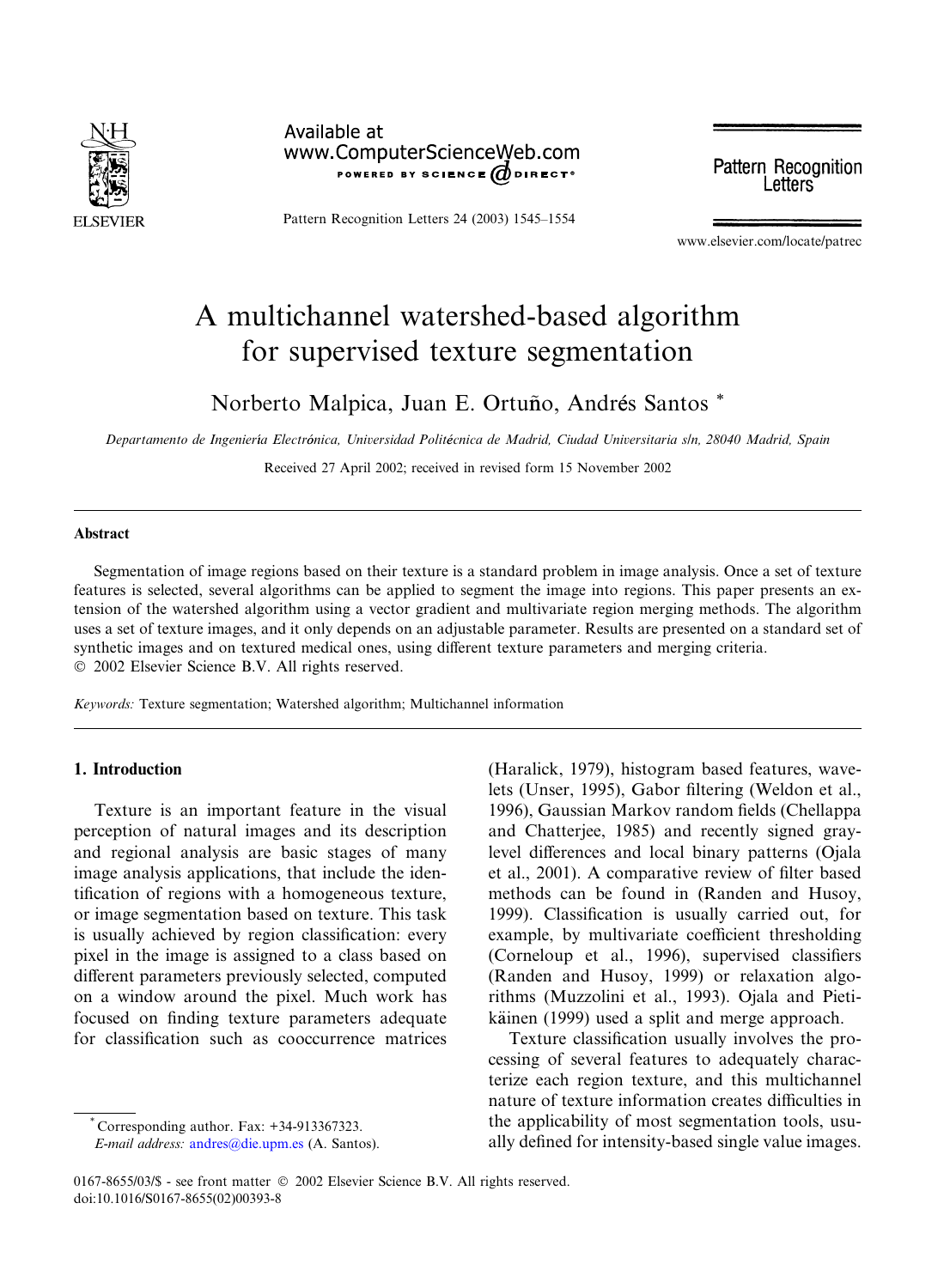

Available at www.ComputerScienceWeb.com POWERED BY SCIENCE ODIRECT®

Pattern Recognition Letters 24 (2003) 1545–1554

**Pattern Recognition** Letters

www.elsevier.com/locate/patrec

# A multichannel watershed-based algorithm for supervised texture segmentation

Norberto Malpica, Juan E. Ortuño, Andrés Santos \*

Departamento de Ingeniería Electrónica, Universidad Politécnica de Madrid, Ciudad Universitaria s/n, 28040 Madrid, Spain

Received 27 April 2002; received in revised form 15 November 2002

## Abstract

Segmentation of image regions based on their texture is a standard problem in image analysis. Once a set of texture features is selected, several algorithms can be applied to segment the image into regions. This paper presents an extension of the watershed algorithm using a vector gradient and multivariate region merging methods. The algorithm uses a set of texture images, and it only depends on an adjustable parameter. Results are presented on a standard set of synthetic images and on textured medical ones, using different texture parameters and merging criteria. 2002 Elsevier Science B.V. All rights reserved.

Keywords: Texture segmentation; Watershed algorithm; Multichannel information

## 1. Introduction

Texture is an important feature in the visual perception of natural images and its description and regional analysis are basic stages of many image analysis applications, that include the identification of regions with a homogeneous texture, or image segmentation based on texture. This task is usually achieved by region classification: every pixel in the image is assigned to a class based on different parameters previously selected, computed on a window around the pixel. Much work has focused on finding texture parameters adequate for classification such as cooccurrence matrices

Corresponding author. Fax: +34-913367323.

(Haralick, 1979), histogram based features, wavelets (Unser, 1995), Gabor filtering (Weldon et al., 1996), Gaussian Markov random fields (Chellappa and Chatterjee, 1985) and recently signed graylevel differences and local binary patterns (Ojala et al., 2001). A comparative review of filter based methods can be found in (Randen and Husoy, 1999). Classification is usually carried out, for example, by multivariate coefficient thresholding (Corneloup et al., 1996), supervised classifiers (Randen and Husoy, 1999) or relaxation algorithms (Muzzolini et al., 1993). Ojala and Pietikäinen (1999) used a split and merge approach.

Texture classification usually involves the processing of several features to adequately characterize each region texture, and this multichannel nature of texture information creates difficulties in the applicability of most segmentation tools, usually defined for intensity-based single value images.

E-mail address: [andres@die.upm.es](mail to: andres@die.upm.es) (A. Santos).

<sup>0167-8655/03/\$ -</sup> see front matter  $\odot$  2002 Elsevier Science B.V. All rights reserved. doi:10.1016/S0167-8655(02)00393-8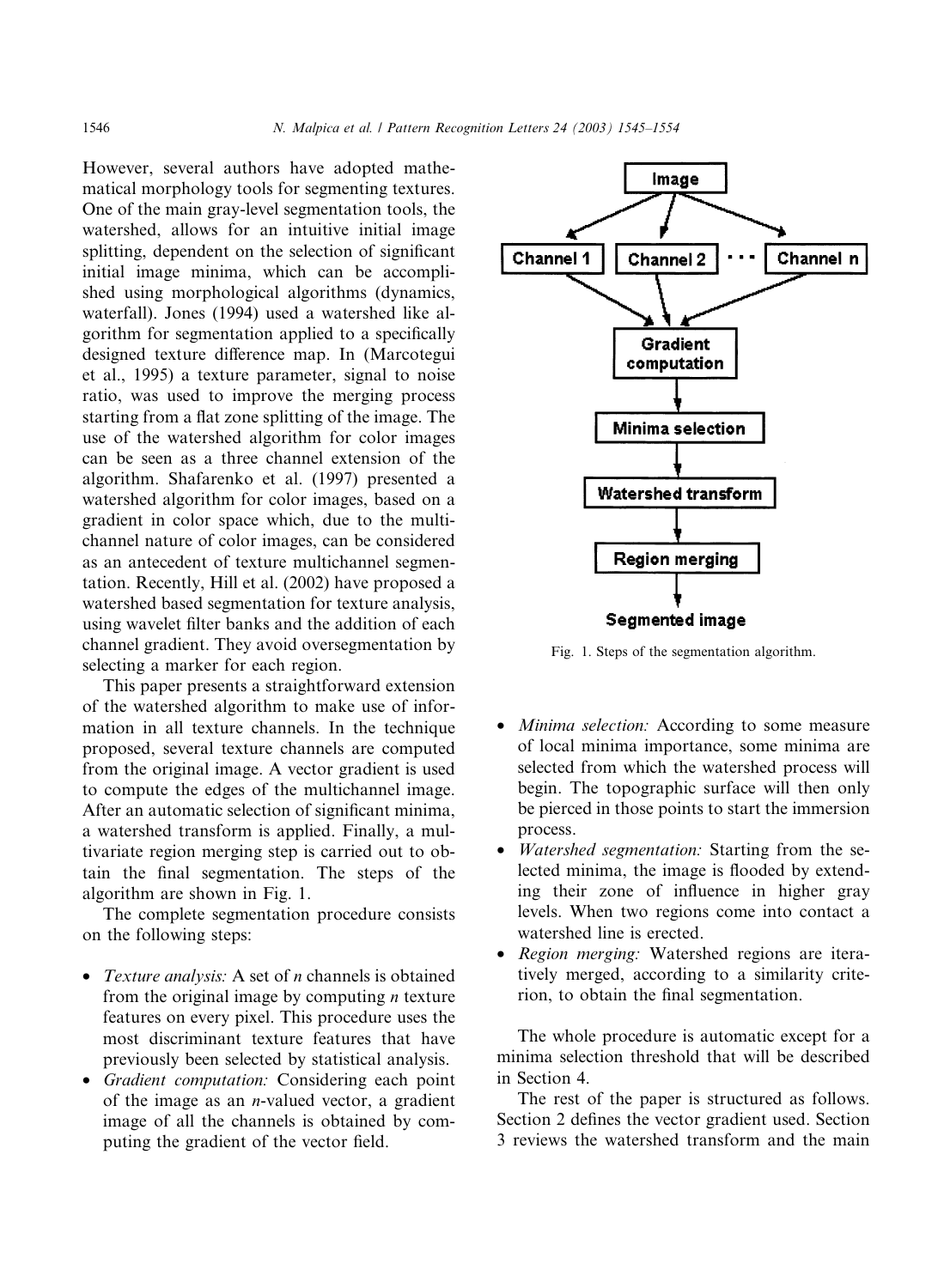However, several authors have adopted mathematical morphology tools for segmenting textures. One of the main gray-level segmentation tools, the watershed, allows for an intuitive initial image splitting, dependent on the selection of significant initial image minima, which can be accomplished using morphological algorithms (dynamics, waterfall). Jones (1994) used a watershed like algorithm for segmentation applied to a specifically designed texture difference map. In (Marcotegui et al., 1995) a texture parameter, signal to noise ratio, was used to improve the merging process starting from a flat zone splitting of the image. The use of the watershed algorithm for color images can be seen as a three channel extension of the algorithm. Shafarenko et al. (1997) presented a watershed algorithm for color images, based on a gradient in color space which, due to the multichannel nature of color images, can be considered as an antecedent of texture multichannel segmentation. Recently, Hill et al. (2002) have proposed a watershed based segmentation for texture analysis, using wavelet filter banks and the addition of each channel gradient. They avoid oversegmentation by selecting a marker for each region.

This paper presents a straightforward extension of the watershed algorithm to make use of information in all texture channels. In the technique proposed, several texture channels are computed from the original image. A vector gradient is used to compute the edges of the multichannel image. After an automatic selection of significant minima, a watershed transform is applied. Finally, a multivariate region merging step is carried out to obtain the final segmentation. The steps of the algorithm are shown in Fig. 1.

The complete segmentation procedure consists on the following steps:

- Texture analysis: A set of  $n$  channels is obtained from the original image by computing  $n$  texture features on every pixel. This procedure uses the most discriminant texture features that have previously been selected by statistical analysis.
- Gradient computation: Considering each point of the image as an *n*-valued vector, a gradient image of all the channels is obtained by computing the gradient of the vector field.



Fig. 1. Steps of the segmentation algorithm.

- *Minima selection:* According to some measure of local minima importance, some minima are selected from which the watershed process will begin. The topographic surface will then only be pierced in those points to start the immersion process.
- Watershed segmentation: Starting from the selected minima, the image is flooded by extending their zone of influence in higher gray levels. When two regions come into contact a watershed line is erected.
- Region merging: Watershed regions are iteratively merged, according to a similarity criterion, to obtain the final segmentation.

The whole procedure is automatic except for a minima selection threshold that will be described in Section 4.

The rest of the paper is structured as follows. Section 2 defines the vector gradient used. Section 3 reviews the watershed transform and the main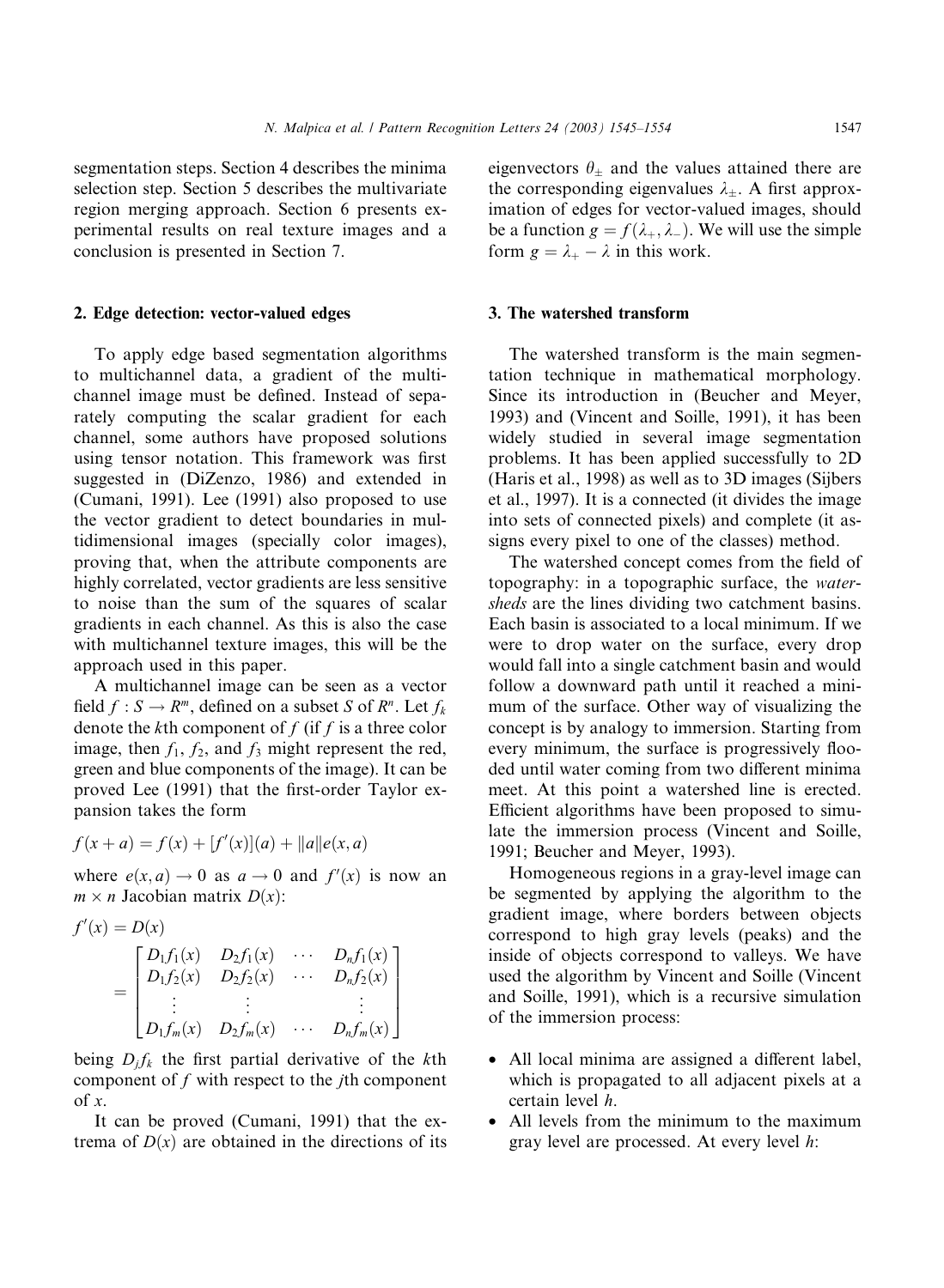segmentation steps. Section 4 describes the minima selection step. Section 5 describes the multivariate region merging approach. Section 6 presents experimental results on real texture images and a conclusion is presented in Section 7.

#### 2. Edge detection: vector-valued edges

To apply edge based segmentation algorithms to multichannel data, a gradient of the multichannel image must be defined. Instead of separately computing the scalar gradient for each channel, some authors have proposed solutions using tensor notation. This framework was first suggested in (DiZenzo, 1986) and extended in (Cumani, 1991). Lee (1991) also proposed to use the vector gradient to detect boundaries in multidimensional images (specially color images), proving that, when the attribute components are highly correlated, vector gradients are less sensitive to noise than the sum of the squares of scalar gradients in each channel. As this is also the case with multichannel texture images, this will be the approach used in this paper.

A multichannel image can be seen as a vector field  $f : S \to R^m$ , defined on a subset S of  $R^n$ . Let  $f_k$ denote the kth component of  $f$  (if  $f$  is a three color image, then  $f_1$ ,  $f_2$ , and  $f_3$  might represent the red, green and blue components of the image). It can be proved Lee (1991) that the first-order Taylor expansion takes the form

$$
f(x + a) = f(x) + [f'(x)](a) + ||a||e(x, a)
$$

where  $e(x, a) \rightarrow 0$  as  $a \rightarrow 0$  and  $f'(x)$  is now an  $m \times n$  Jacobian matrix  $D(x)$ :

$$
f'(x) = D(x)
$$
  
= 
$$
\begin{bmatrix} D_1 f_1(x) & D_2 f_1(x) & \cdots & D_n f_1(x) \\ D_1 f_2(x) & D_2 f_2(x) & \cdots & D_n f_2(x) \\ \vdots & \vdots & & \vdots \\ D_1 f_m(x) & D_2 f_m(x) & \cdots & D_n f_m(x) \end{bmatrix}
$$

being  $D_i f_k$  the first partial derivative of the kth component of  $f$  with respect to the  $j$ th component of x.

It can be proved (Cumani, 1991) that the extrema of  $D(x)$  are obtained in the directions of its eigenvectors  $\theta_{\pm}$  and the values attained there are the corresponding eigenvalues  $\lambda_{\pm}$ . A first approximation of edges for vector-valued images, should be a function  $g = f(\lambda_+, \lambda_-)$ . We will use the simple form  $g = \lambda_+ - \lambda$  in this work.

## 3. The watershed transform

The watershed transform is the main segmentation technique in mathematical morphology. Since its introduction in (Beucher and Meyer, 1993) and (Vincent and Soille, 1991), it has been widely studied in several image segmentation problems. It has been applied successfully to 2D (Haris et al., 1998) as well as to 3D images (Sijbers et al., 1997). It is a connected (it divides the image into sets of connected pixels) and complete (it assigns every pixel to one of the classes) method.

The watershed concept comes from the field of topography: in a topographic surface, the watersheds are the lines dividing two catchment basins. Each basin is associated to a local minimum. If we were to drop water on the surface, every drop would fall into a single catchment basin and would follow a downward path until it reached a minimum of the surface. Other way of visualizing the concept is by analogy to immersion. Starting from every minimum, the surface is progressively flooded until water coming from two different minima meet. At this point a watershed line is erected. Efficient algorithms have been proposed to simulate the immersion process (Vincent and Soille, 1991; Beucher and Meyer, 1993).

Homogeneous regions in a gray-level image can be segmented by applying the algorithm to the gradient image, where borders between objects correspond to high gray levels (peaks) and the inside of objects correspond to valleys. We have used the algorithm by Vincent and Soille (Vincent and Soille, 1991), which is a recursive simulation of the immersion process:

- All local minima are assigned a different label, which is propagated to all adjacent pixels at a certain level h.
- All levels from the minimum to the maximum gray level are processed. At every level h: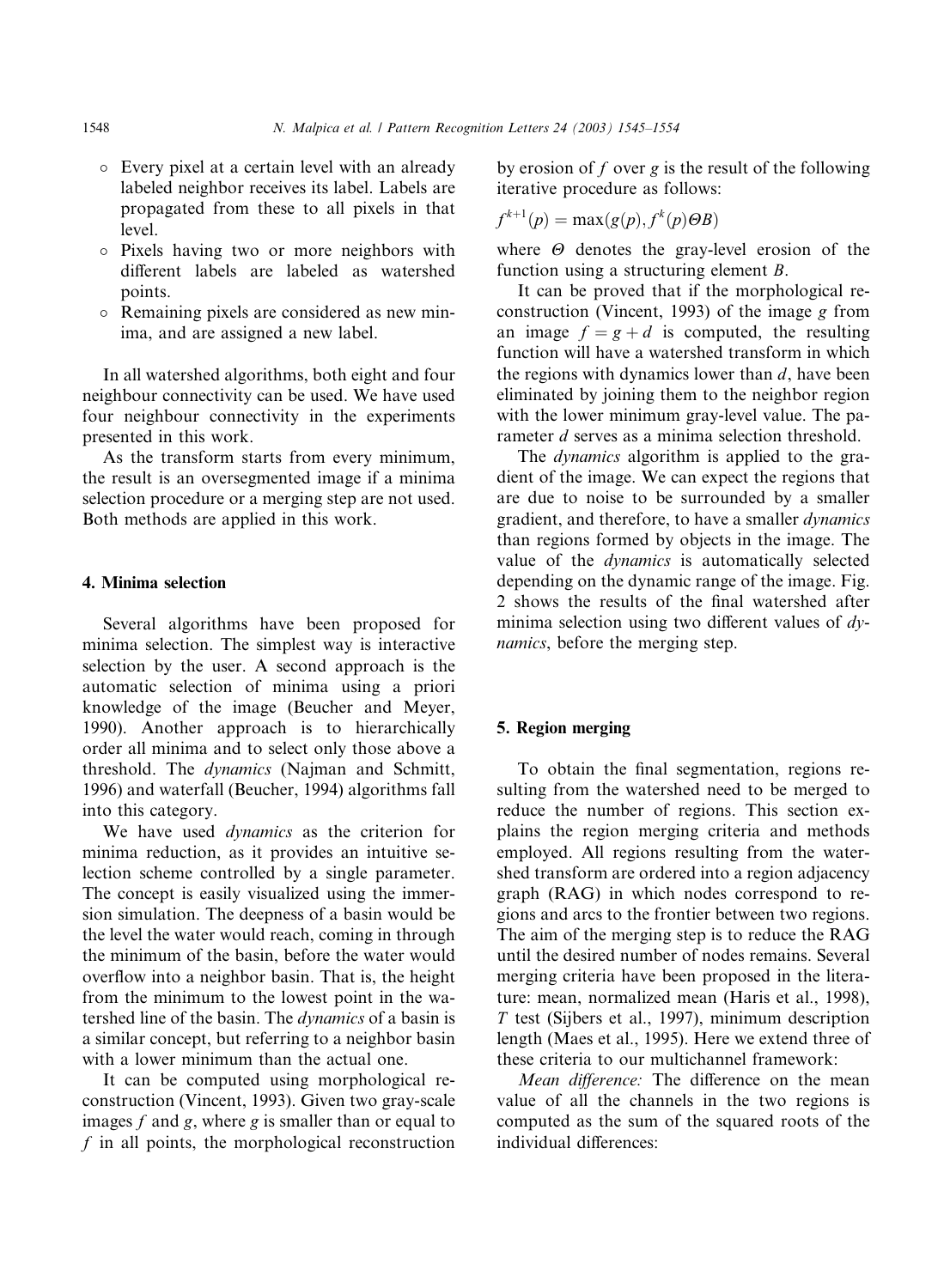- Every pixel at a certain level with an already labeled neighbor receives its label. Labels are propagated from these to all pixels in that level.
- Pixels having two or more neighbors with different labels are labeled as watershed points.
- Remaining pixels are considered as new minima, and are assigned a new label.

In all watershed algorithms, both eight and four neighbour connectivity can be used. We have used four neighbour connectivity in the experiments presented in this work.

As the transform starts from every minimum, the result is an oversegmented image if a minima selection procedure or a merging step are not used. Both methods are applied in this work.

## 4. Minima selection

Several algorithms have been proposed for minima selection. The simplest way is interactive selection by the user. A second approach is the automatic selection of minima using a priori knowledge of the image (Beucher and Meyer, 1990). Another approach is to hierarchically order all minima and to select only those above a threshold. The dynamics (Najman and Schmitt, 1996) and waterfall (Beucher, 1994) algorithms fall into this category.

We have used *dynamics* as the criterion for minima reduction, as it provides an intuitive selection scheme controlled by a single parameter. The concept is easily visualized using the immersion simulation. The deepness of a basin would be the level the water would reach, coming in through the minimum of the basin, before the water would overflow into a neighbor basin. That is, the height from the minimum to the lowest point in the watershed line of the basin. The dynamics of a basin is a similar concept, but referring to a neighbor basin with a lower minimum than the actual one.

It can be computed using morphological reconstruction (Vincent, 1993). Given two gray-scale images  $f$  and  $g$ , where  $g$  is smaller than or equal to  $f$  in all points, the morphological reconstruction by erosion of  $f$  over  $g$  is the result of the following iterative procedure as follows:

$$
f^{k+1}(p) = \max(g(p), f^k(p)\Theta B)
$$

where  $\Theta$  denotes the gray-level erosion of the function using a structuring element B.

It can be proved that if the morphological reconstruction (Vincent, 1993) of the image  $g$  from an image  $f = g + d$  is computed, the resulting function will have a watershed transform in which the regions with dynamics lower than  $d$ , have been eliminated by joining them to the neighbor region with the lower minimum gray-level value. The parameter *d* serves as a minima selection threshold.

The *dynamics* algorithm is applied to the gradient of the image. We can expect the regions that are due to noise to be surrounded by a smaller gradient, and therefore, to have a smaller dynamics than regions formed by objects in the image. The value of the dynamics is automatically selected depending on the dynamic range of the image. Fig. 2 shows the results of the final watershed after minima selection using two different values of  $dv$ namics, before the merging step.

## 5. Region merging

To obtain the final segmentation, regions resulting from the watershed need to be merged to reduce the number of regions. This section explains the region merging criteria and methods employed. All regions resulting from the watershed transform are ordered into a region adjacency graph (RAG) in which nodes correspond to regions and arcs to the frontier between two regions. The aim of the merging step is to reduce the RAG until the desired number of nodes remains. Several merging criteria have been proposed in the literature: mean, normalized mean (Haris et al., 1998), T test (Sijbers et al., 1997), minimum description length (Maes et al., 1995). Here we extend three of these criteria to our multichannel framework:

Mean difference: The difference on the mean value of all the channels in the two regions is computed as the sum of the squared roots of the individual differences: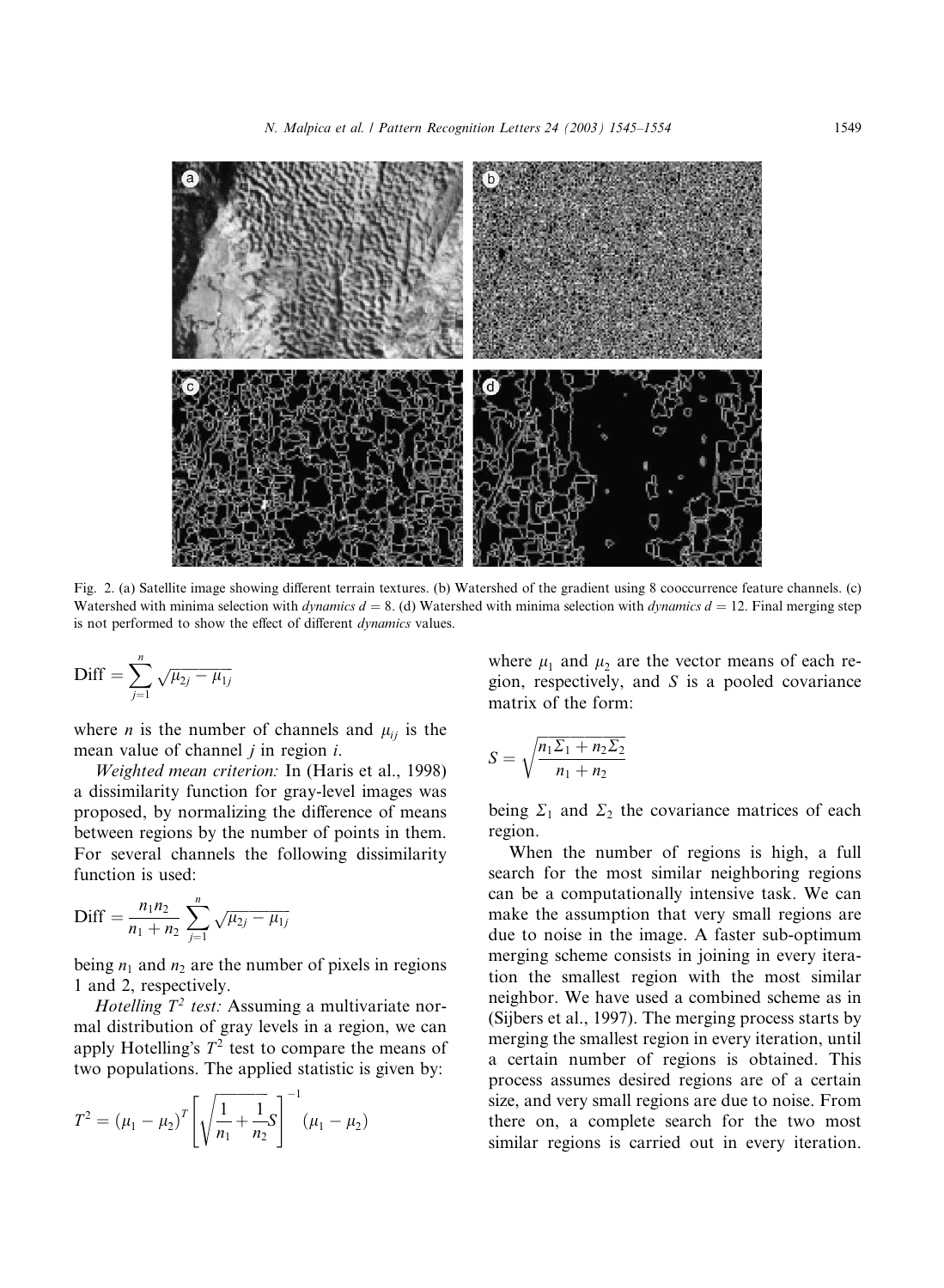

Fig. 2. (a) Satellite image showing different terrain textures. (b) Watershed of the gradient using 8 cooccurrence feature channels. (c) Watershed with minima selection with *dynamics d* = 8. (d) Watershed with minima selection with *dynamics d* = 12. Final merging step is not performed to show the effect of different dynamics values.

$$
\text{Diff} = \sum_{j=1}^{n} \sqrt{\mu_{2j} - \mu_{1j}}
$$

where *n* is the number of channels and  $\mu_{ii}$  is the mean value of channel  $j$  in region  $i$ .

Weighted mean criterion: In (Haris et al., 1998) a dissimilarity function for gray-level images was proposed, by normalizing the difference of means between regions by the number of points in them. For several channels the following dissimilarity function is used:

$$
\text{Diff} = \frac{n_1 n_2}{n_1 + n_2} \sum_{j=1}^{n} \sqrt{\mu_{2j} - \mu_{1j}}
$$

being  $n_1$  and  $n_2$  are the number of pixels in regions 1 and 2, respectively.

Hotelling  $T^2$  test: Assuming a multivariate normal distribution of gray levels in a region, we can apply Hotelling's  $T^2$  test to compare the means of two populations. The applied statistic is given by:

$$
T^{2} = (\mu_{1} - \mu_{2})^{T} \left[ \sqrt{\frac{1}{n_{1}} + \frac{1}{n_{2}}} S \right]^{-1} (\mu_{1} - \mu_{2})
$$

where  $\mu_1$  and  $\mu_2$  are the vector means of each region, respectively, and  $S$  is a pooled covariance matrix of the form:

$$
S = \sqrt{\frac{n_1 \Sigma_1 + n_2 \Sigma_2}{n_1 + n_2}}
$$

being  $\Sigma_1$  and  $\Sigma_2$  the covariance matrices of each region.

When the number of regions is high, a full search for the most similar neighboring regions can be a computationally intensive task. We can make the assumption that very small regions are due to noise in the image. A faster sub-optimum merging scheme consists in joining in every iteration the smallest region with the most similar neighbor. We have used a combined scheme as in (Sijbers et al., 1997). The merging process starts by merging the smallest region in every iteration, until a certain number of regions is obtained. This process assumes desired regions are of a certain size, and very small regions are due to noise. From there on, a complete search for the two most similar regions is carried out in every iteration.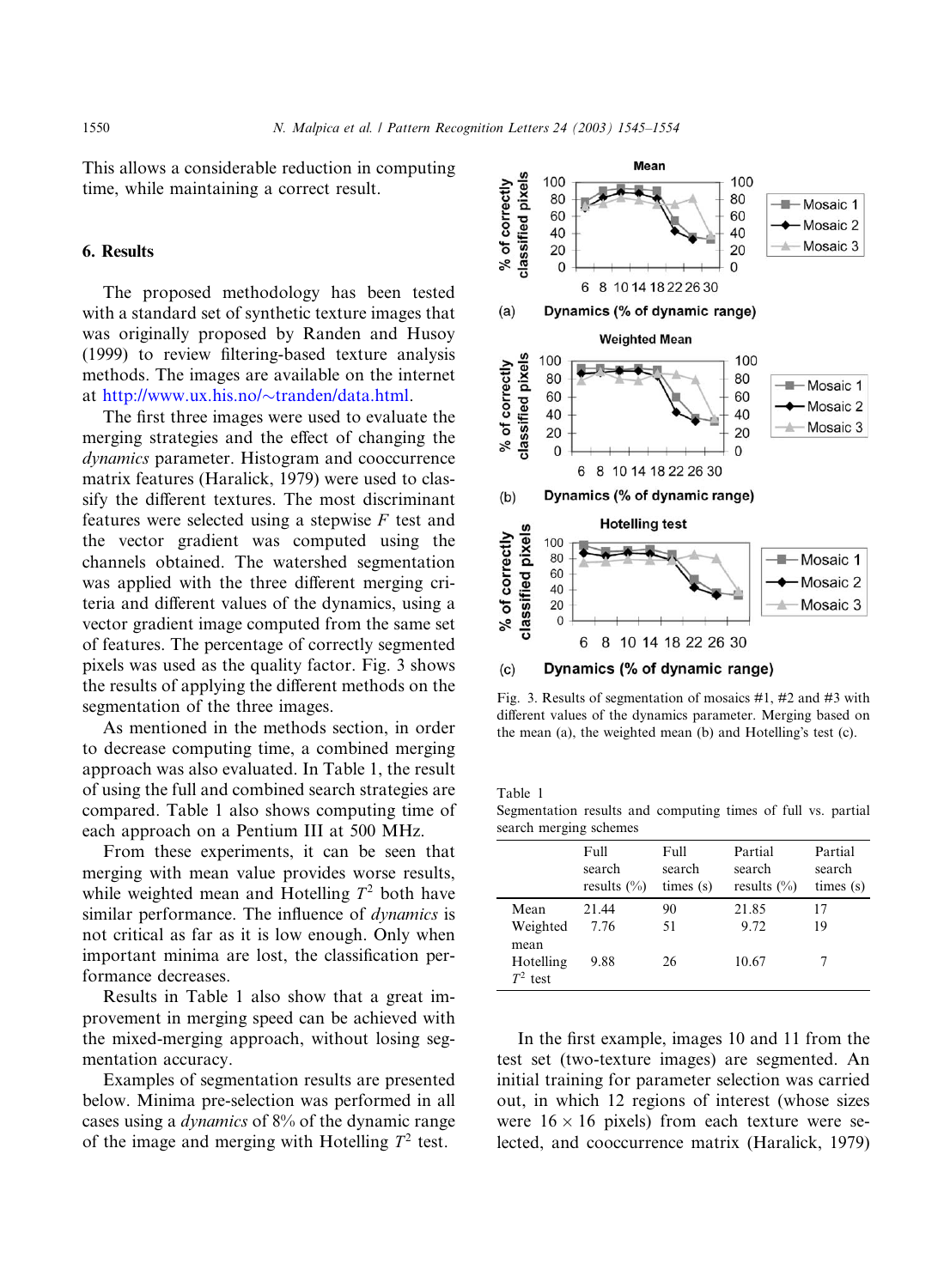This allows a considerable reduction in computing time, while maintaining a correct result.

## 6. Results

The proposed methodology has been tested with a standard set of synthetic texture images that was originally proposed by Randen and Husoy (1999) to review filtering-based texture analysis methods. The images are available on the internet at [http://www.ux.his.no/](http://www.ux.his.no/~tranden/data.html) $\sim$ [tranden/data.html.](http://www.ux.his.no/~tranden/data.html)

The first three images were used to evaluate the merging strategies and the effect of changing the dynamics parameter. Histogram and cooccurrence matrix features (Haralick, 1979) were used to classify the different textures. The most discriminant features were selected using a stepwise  $F$  test and the vector gradient was computed using the channels obtained. The watershed segmentation was applied with the three different merging criteria and different values of the dynamics, using a vector gradient image computed from the same set of features. The percentage of correctly segmented pixels was used as the quality factor. Fig. 3 shows the results of applying the different methods on the segmentation of the three images.

As mentioned in the methods section, in order to decrease computing time, a combined merging approach was also evaluated. In Table 1, the result of using the full and combined search strategies are compared. Table 1 also shows computing time of each approach on a Pentium III at 500 MHz.

From these experiments, it can be seen that merging with mean value provides worse results, while weighted mean and Hotelling  $T^2$  both have similar performance. The influence of *dynamics* is not critical as far as it is low enough. Only when important minima are lost, the classification performance decreases.

Results in Table 1 also show that a great improvement in merging speed can be achieved with the mixed-merging approach, without losing segmentation accuracy.

Examples of segmentation results are presented below. Minima pre-selection was performed in all cases using a dynamics of 8% of the dynamic range of the image and merging with Hotelling  $T^2$  test.



Dynamics (% of dynamic range)  $(c)$ 

Fig. 3. Results of segmentation of mosaics #1, #2 and #3 with different values of the dynamics parameter. Merging based on the mean  $(a)$ , the weighted mean  $(b)$  and Hotelling's test  $(c)$ .

Table 1

Segmentation results and computing times of full vs. partial search merging schemes

|                                                     | Full<br>search<br>results $(\% )$ | Full<br>search<br>times (s) | Partial<br>search<br>results $(\%)$ | Partial<br>search<br>times (s) |
|-----------------------------------------------------|-----------------------------------|-----------------------------|-------------------------------------|--------------------------------|
| Mean<br>Weighted<br>mean<br>Hotelling<br>$T^2$ test | 21.44<br>7.76<br>9.88             | 90<br>51<br>26              | 21.85<br>9.72<br>10.67              | 17<br>19                       |

In the first example, images 10 and 11 from the test set (two-texture images) are segmented. An initial training for parameter selection was carried out, in which 12 regions of interest (whose sizes were  $16 \times 16$  pixels) from each texture were selected, and cooccurrence matrix (Haralick, 1979)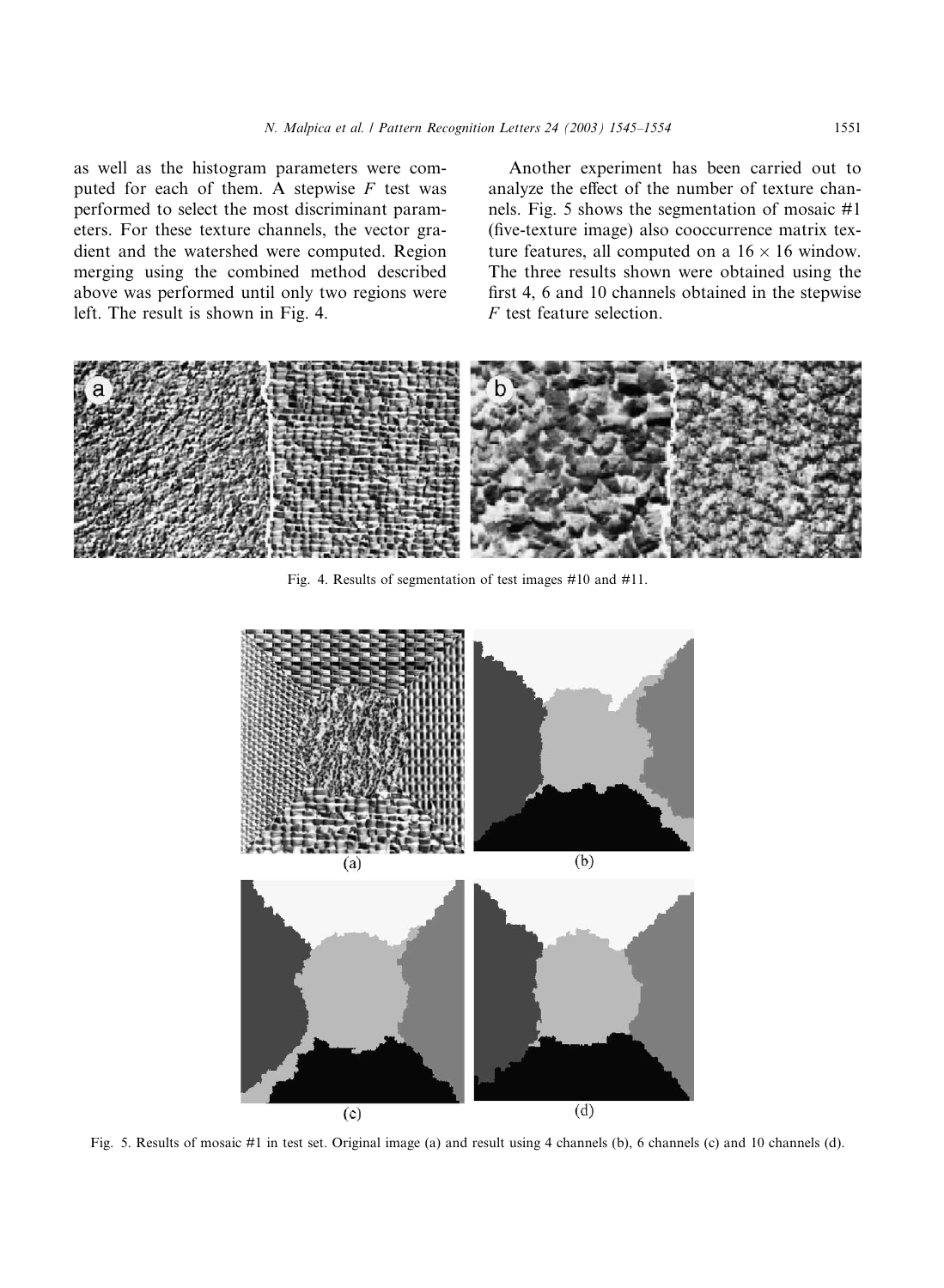as well as the histogram parameters were computed for each of them. A stepwise  $F$  test was performed to select the most discriminant parameters. For these texture channels, the vector gradient and the watershed were computed. Region merging using the combined method described above was performed until only two regions were left. The result is shown in Fig. 4.

Another experiment has been carried out to analyze the effect of the number of texture channels. Fig. 5 shows the segmentation of mosaic #1 (five-texture image) also cooccurrence matrix texture features, all computed on a  $16 \times 16$  window. The three results shown were obtained using the first 4, 6 and 10 channels obtained in the stepwise F test feature selection.



Fig. 4. Results of segmentation of test images #10 and #11.



Fig. 5. Results of mosaic #1 in test set. Original image (a) and result using 4 channels (b), 6 channels (c) and 10 channels (d).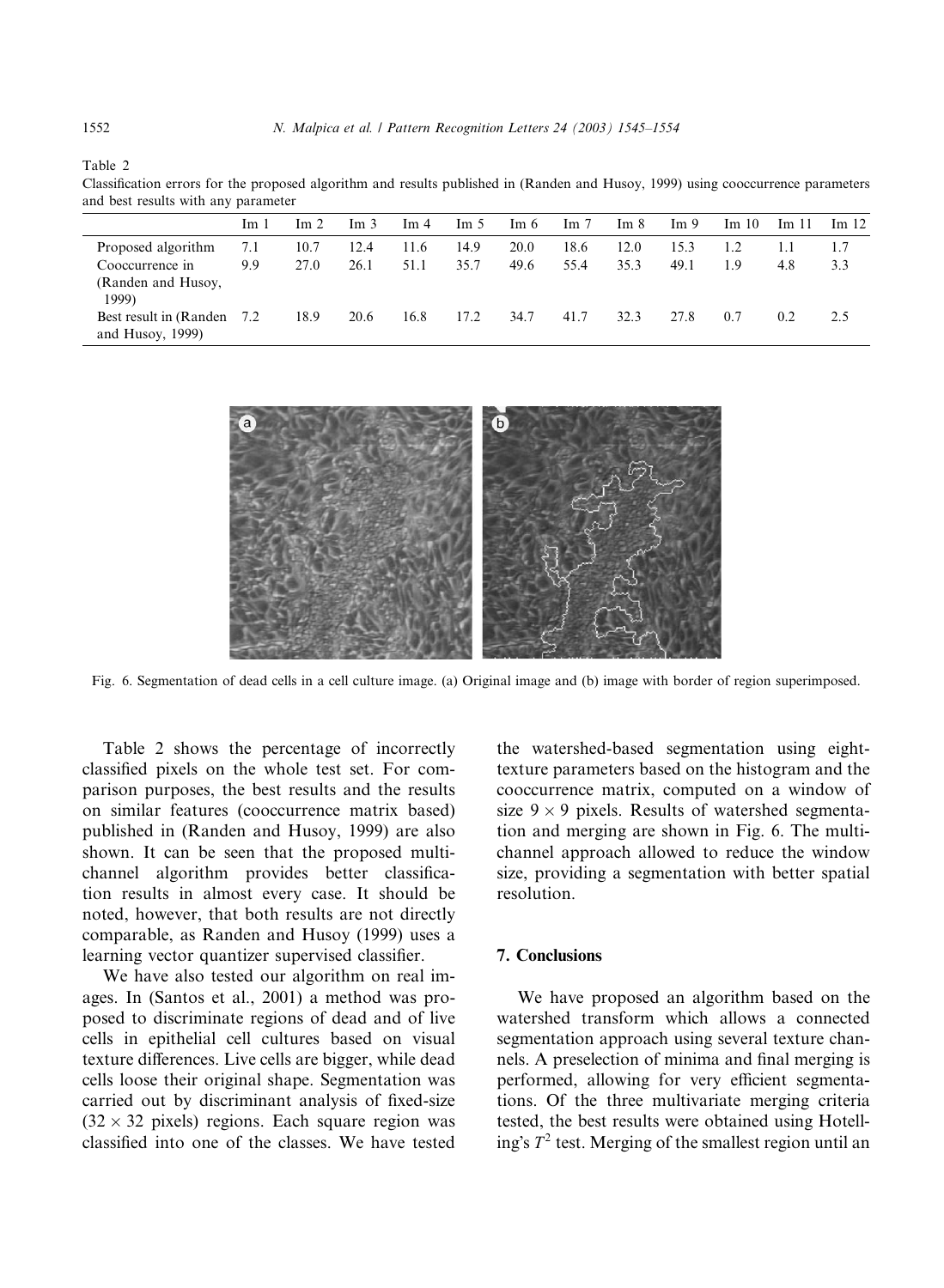Table 2

Classification errors for the proposed algorithm and results published in (Randen and Husoy, 1999) using cooccurrence parameters and best results with any parameter

| and best results with any parameter            |                 |      |                 |                 |                 |      |      |      |                 |       |       |       |
|------------------------------------------------|-----------------|------|-----------------|-----------------|-----------------|------|------|------|-----------------|-------|-------|-------|
|                                                | Im <sub>1</sub> | Im 2 | Im <sub>3</sub> | Im <sub>4</sub> | Im <sub>5</sub> | Im 6 | Im 7 | Im 8 | Im <sub>9</sub> | Im 10 | Im 11 | Im 12 |
| Proposed algorithm                             | 7.1             | 10.7 | 12.4            | 11.6            | 14.9            | 20.0 | 18.6 | 12.0 | 15.3            | 1.2   | 1.1   | 1.7   |
| Cooccurrence in                                | 9.9             | 27.0 | 26.1            | 51.1            | 35.7            | 49.6 | 55.4 | 35.3 | 49.1            | 1.9   | 4.8   | 3.3   |
| (Randen and Husoy,<br>1999)                    |                 |      |                 |                 |                 |      |      |      |                 |       |       |       |
| Best result in (Randen)<br>and Husoy, $1999$ ) | 7.2             | 18.9 | 20.6            | 16.8            | 17.2            | 34.7 | 41.7 | 32.3 | 27.8            | 0.7   | 0.2   | 2.5   |
|                                                |                 |      |                 |                 |                 |      |      |      |                 |       |       |       |



Fig. 6. Segmentation of dead cells in a cell culture image. (a) Original image and (b) image with border of region superimposed.

Table 2 shows the percentage of incorrectly classified pixels on the whole test set. For comparison purposes, the best results and the results on similar features (cooccurrence matrix based) published in (Randen and Husoy, 1999) are also shown. It can be seen that the proposed multichannel algorithm provides better classification results in almost every case. It should be noted, however, that both results are not directly comparable, as Randen and Husoy (1999) uses a learning vector quantizer supervised classifier.

We have also tested our algorithm on real images. In (Santos et al., 2001) a method was proposed to discriminate regions of dead and of live cells in epithelial cell cultures based on visual texture differences. Live cells are bigger, while dead cells loose their original shape. Segmentation was carried out by discriminant analysis of fixed-size  $(32 \times 32)$  pixels) regions. Each square region was classified into one of the classes. We have tested the watershed-based segmentation using eighttexture parameters based on the histogram and the cooccurrence matrix, computed on a window of size  $9 \times 9$  pixels. Results of watershed segmentation and merging are shown in Fig. 6. The multichannel approach allowed to reduce the window size, providing a segmentation with better spatial resolution.

#### 7. Conclusions

We have proposed an algorithm based on the watershed transform which allows a connected segmentation approach using several texture channels. A preselection of minima and final merging is performed, allowing for very efficient segmentations. Of the three multivariate merging criteria tested, the best results were obtained using Hotelling's  $T^2$  test. Merging of the smallest region until an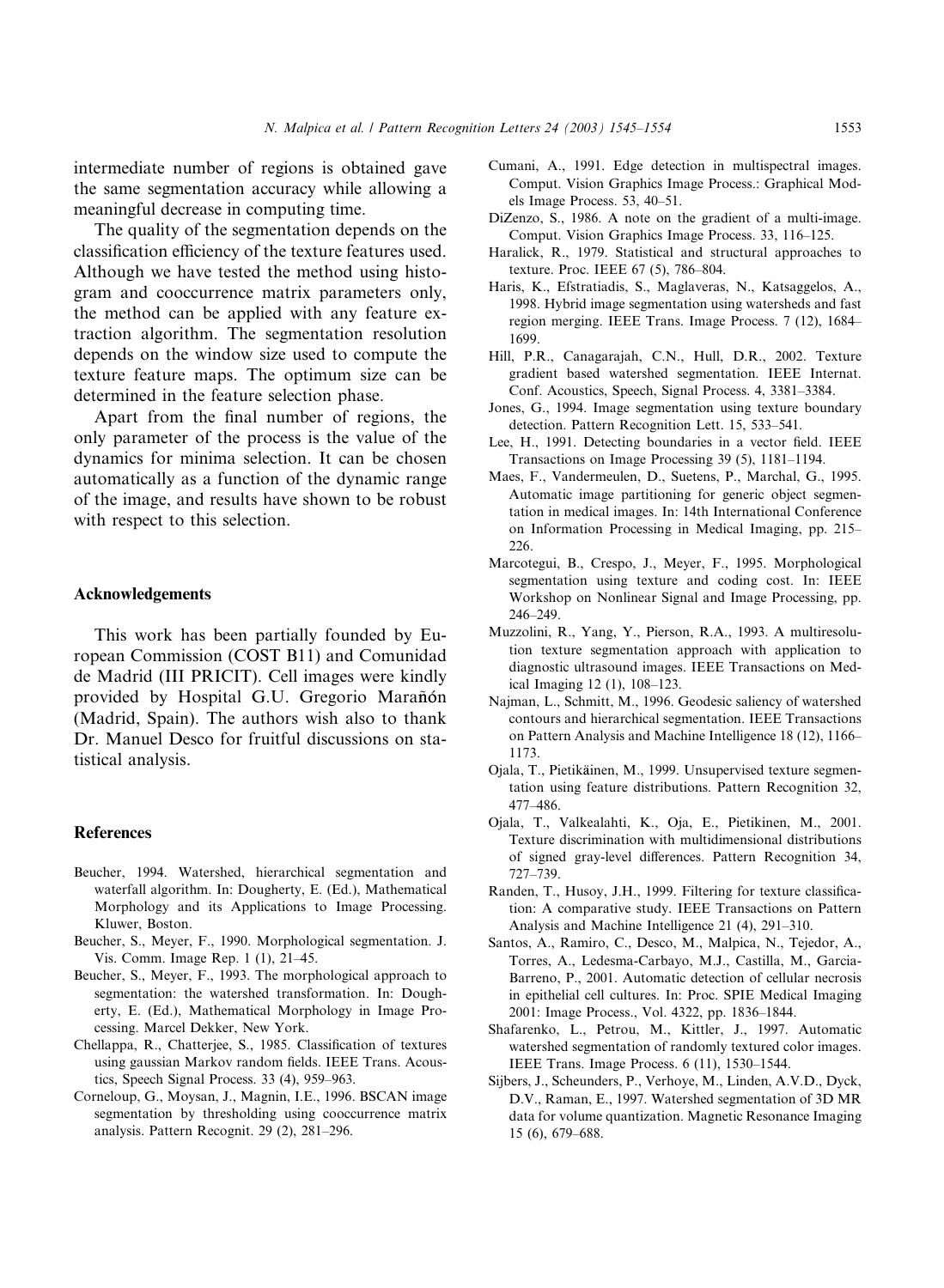intermediate number of regions is obtained gave the same segmentation accuracy while allowing a meaningful decrease in computing time.

The quality of the segmentation depends on the classification efficiency of the texture features used. Although we have tested the method using histogram and cooccurrence matrix parameters only, the method can be applied with any feature extraction algorithm. The segmentation resolution depends on the window size used to compute the texture feature maps. The optimum size can be determined in the feature selection phase.

Apart from the final number of regions, the only parameter of the process is the value of the dynamics for minima selection. It can be chosen automatically as a function of the dynamic range of the image, and results have shown to be robust with respect to this selection.

#### Acknowledgements

This work has been partially founded by European Commission (COST B11) and Comunidad de Madrid (III PRICIT). Cell images were kindly provided by Hospital G.U. Gregorio Marañón (Madrid, Spain). The authors wish also to thank Dr. Manuel Desco for fruitful discussions on statistical analysis.

## **References**

- Beucher, 1994. Watershed, hierarchical segmentation and waterfall algorithm. In: Dougherty, E. (Ed.), Mathematical Morphology and its Applications to Image Processing. Kluwer, Boston.
- Beucher, S., Meyer, F., 1990. Morphological segmentation. J. Vis. Comm. Image Rep. 1 (1), 21–45.
- Beucher, S., Meyer, F., 1993. The morphological approach to segmentation: the watershed transformation. In: Dougherty, E. (Ed.), Mathematical Morphology in Image Processing. Marcel Dekker, New York.
- Chellappa, R., Chatterjee, S., 1985. Classification of textures using gaussian Markov random fields. IEEE Trans. Acoustics, Speech Signal Process. 33 (4), 959–963.
- Corneloup, G., Moysan, J., Magnin, I.E., 1996. BSCAN image segmentation by thresholding using cooccurrence matrix analysis. Pattern Recognit. 29 (2), 281–296.
- Cumani, A., 1991. Edge detection in multispectral images. Comput. Vision Graphics Image Process.: Graphical Models Image Process. 53, 40–51.
- DiZenzo, S., 1986. A note on the gradient of a multi-image. Comput. Vision Graphics Image Process. 33, 116–125.
- Haralick, R., 1979. Statistical and structural approaches to texture. Proc. IEEE 67 (5), 786–804.
- Haris, K., Efstratiadis, S., Maglaveras, N., Katsaggelos, A., 1998. Hybrid image segmentation using watersheds and fast region merging. IEEE Trans. Image Process. 7 (12), 1684– 1699.
- Hill, P.R., Canagarajah, C.N., Hull, D.R., 2002. Texture gradient based watershed segmentation. IEEE Internat. Conf. Acoustics, Speech, Signal Process. 4, 3381–3384.
- Jones, G., 1994. Image segmentation using texture boundary detection. Pattern Recognition Lett. 15, 533–541.
- Lee, H., 1991. Detecting boundaries in a vector field. IEEE Transactions on Image Processing 39 (5), 1181–1194.
- Maes, F., Vandermeulen, D., Suetens, P., Marchal, G., 1995. Automatic image partitioning for generic object segmentation in medical images. In: 14th International Conference on Information Processing in Medical Imaging, pp. 215– 226.
- Marcotegui, B., Crespo, J., Meyer, F., 1995. Morphological segmentation using texture and coding cost. In: IEEE Workshop on Nonlinear Signal and Image Processing, pp. 246–249.
- Muzzolini, R., Yang, Y., Pierson, R.A., 1993. A multiresolution texture segmentation approach with application to diagnostic ultrasound images. IEEE Transactions on Medical Imaging 12 (1), 108–123.
- Najman, L., Schmitt, M., 1996. Geodesic saliency of watershed contours and hierarchical segmentation. IEEE Transactions on Pattern Analysis and Machine Intelligence 18 (12), 1166– 1173.
- Ojala, T., Pietikäinen, M., 1999. Unsupervised texture segmentation using feature distributions. Pattern Recognition 32, 477–486.
- Ojala, T., Valkealahti, K., Oja, E., Pietikinen, M., 2001. Texture discrimination with multidimensional distributions of signed gray-level differences. Pattern Recognition 34, 727–739.
- Randen, T., Husoy, J.H., 1999. Filtering for texture classification: A comparative study. IEEE Transactions on Pattern Analysis and Machine Intelligence 21 (4), 291–310.
- Santos, A., Ramiro, C., Desco, M., Malpica, N., Tejedor, A., Torres, A., Ledesma-Carbayo, M.J., Castilla, M., Garcia-Barreno, P., 2001. Automatic detection of cellular necrosis in epithelial cell cultures. In: Proc. SPIE Medical Imaging 2001: Image Process., Vol. 4322, pp. 1836–1844.
- Shafarenko, L., Petrou, M., Kittler, J., 1997. Automatic watershed segmentation of randomly textured color images. IEEE Trans. Image Process. 6 (11), 1530–1544.
- Sijbers, J., Scheunders, P., Verhoye, M., Linden, A.V.D., Dyck, D.V., Raman, E., 1997. Watershed segmentation of 3D MR data for volume quantization. Magnetic Resonance Imaging 15 (6), 679–688.